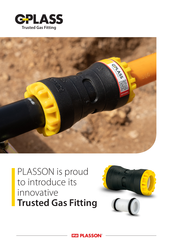



## PLASSON is proud to introduce its innovative **Trusted Gas Fitting**